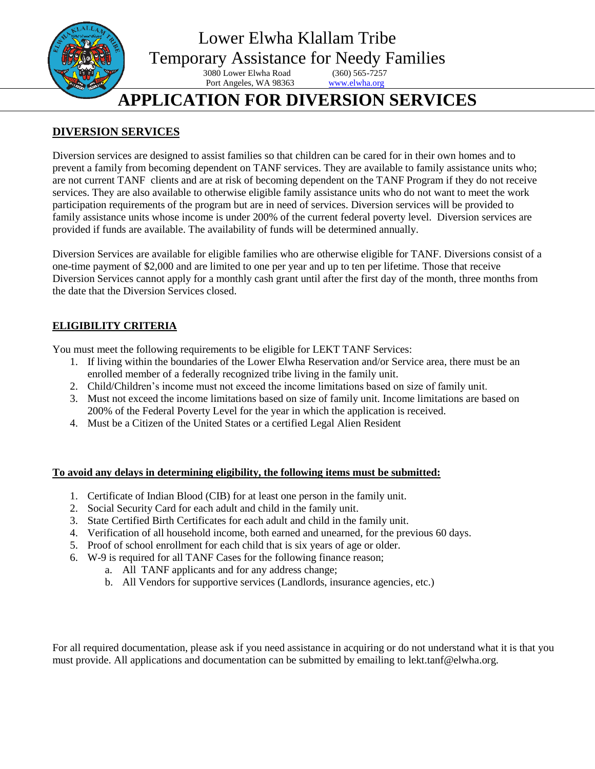

## **DIVERSION SERVICES**

Diversion services are designed to assist families so that children can be cared for in their own homes and to prevent a family from becoming dependent on TANF services. They are available to family assistance units who; are not current TANF clients and are at risk of becoming dependent on the TANF Program if they do not receive services. They are also available to otherwise eligible family assistance units who do not want to meet the work participation requirements of the program but are in need of services. Diversion services will be provided to family assistance units whose income is under 200% of the current federal poverty level. Diversion services are provided if funds are available. The availability of funds will be determined annually.

Diversion Services are available for eligible families who are otherwise eligible for TANF. Diversions consist of a one-time payment of \$2,000 and are limited to one per year and up to ten per lifetime. Those that receive Diversion Services cannot apply for a monthly cash grant until after the first day of the month, three months from the date that the Diversion Services closed.

### **ELIGIBILITY CRITERIA**

You must meet the following requirements to be eligible for LEKT TANF Services:

- 1. If living within the boundaries of the Lower Elwha Reservation and/or Service area, there must be an enrolled member of a federally recognized tribe living in the family unit.
- 2. Child/Children's income must not exceed the income limitations based on size of family unit.
- 3. Must not exceed the income limitations based on size of family unit. Income limitations are based on 200% of the Federal Poverty Level for the year in which the application is received.
- 4. Must be a Citizen of the United States or a certified Legal Alien Resident

#### **To avoid any delays in determining eligibility, the following items must be submitted:**

- 1. Certificate of Indian Blood (CIB) for at least one person in the family unit.
- 2. Social Security Card for each adult and child in the family unit.
- 3. State Certified Birth Certificates for each adult and child in the family unit.
- 4. Verification of all household income, both earned and unearned, for the previous 60 days.
- 5. Proof of school enrollment for each child that is six years of age or older.
- 6. W-9 is required for all TANF Cases for the following finance reason;
	- a. All TANF applicants and for any address change;
	- b. All Vendors for supportive services (Landlords, insurance agencies, etc.)

For all required documentation, please ask if you need assistance in acquiring or do not understand what it is that you must provide. All applications and documentation can be submitted by emailing to lekt.tanf@elwha.org.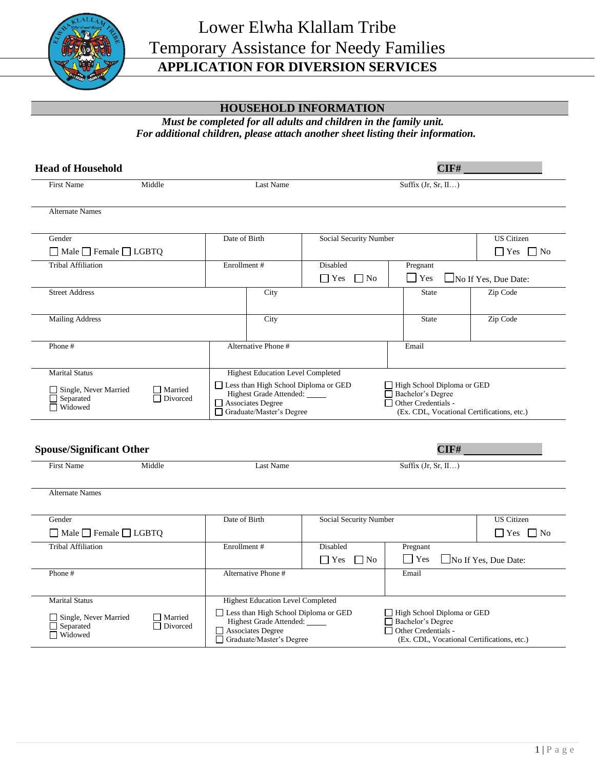

## **HOUSEHOLD INFORMATION**

*Must be completed for all adults and children in the family unit. For additional children, please attach another sheet listing their information.*

| <b>Head of Household</b>                                                   |                            |                          | CIF#                                                       |                                             |                                                                                               |  |                                            |
|----------------------------------------------------------------------------|----------------------------|--------------------------|------------------------------------------------------------|---------------------------------------------|-----------------------------------------------------------------------------------------------|--|--------------------------------------------|
| <b>First Name</b>                                                          | Middle                     | Last Name                |                                                            |                                             | Suffix $(Jr, Sr, II)$                                                                         |  |                                            |
| <b>Alternate Names</b>                                                     |                            |                          |                                                            |                                             |                                                                                               |  |                                            |
| Gender                                                                     |                            | Date of Birth            |                                                            | <b>Social Security Number</b>               |                                                                                               |  | <b>US</b> Citizen                          |
| $\Box$ Male $\Box$ Female $\Box$ LGBTQ                                     |                            |                          |                                                            |                                             |                                                                                               |  | $\Box$ Yes $\Box$ No                       |
| <b>Tribal Affiliation</b>                                                  |                            | Enrollment #             |                                                            | Disabled<br>$\Box$ Yes<br>$\blacksquare$ No | Pregnant<br>$\Box$ Yes                                                                        |  | No If Yes, Due Date:                       |
| <b>Street Address</b>                                                      |                            |                          | City                                                       |                                             | <b>State</b>                                                                                  |  | Zip Code                                   |
| <b>Mailing Address</b>                                                     |                            |                          | City                                                       |                                             | State                                                                                         |  | Zip Code                                   |
| Phone#                                                                     |                            |                          | Alternative Phone #                                        |                                             | Email                                                                                         |  |                                            |
| $\Box$ Single, Never Married<br>$\Box$ Separated<br>$\Box$ Widowed         | $\Box$ Married<br>Divorced | $\Box$ Associates Degree | <b>Highest Grade Attended:</b><br>Graduate/Master's Degree |                                             | Bachelor's Degree<br>$\Box$ Other Credentials -<br>(Ex. CDL, Vocational Certifications, etc.) |  |                                            |
| <b>Spouse/Significant Other</b><br><b>First Name</b><br>Middle             |                            | Last Name                |                                                            | CIF#<br>Suffix $(Jr, Sr, II)$               |                                                                                               |  |                                            |
| <b>Alternate Names</b><br>Gender<br>$\Box$ Male $\Box$ Female $\Box$ LGBTQ |                            | Date of Birth            |                                                            | <b>Social Security Number</b>               |                                                                                               |  | <b>US</b> Citizen<br>$\Box$ Yes $\Box$ No  |
| <b>Tribal Affiliation</b>                                                  |                            | Enrollment #             |                                                            | Disabled<br>$\Box$ Yes $\Box$ No            | Pregnant<br>$\Box$ Yes                                                                        |  | $\Box$ No If Yes, Due Date:                |
| Phone#                                                                     |                            | Alternative Phone #      |                                                            |                                             | Email                                                                                         |  |                                            |
| <b>Marital Status</b>                                                      |                            |                          | <b>Highest Education Level Completed</b>                   |                                             |                                                                                               |  |                                            |
| $\Box$ Single, Never Married<br>$\Box$ Separated<br>$\Box$ Widowed         | □ Married<br>Divorced      | $\Box$ Associates Degree | Highest Grade Attended:<br>Graduate/Master's Degree        | Less than High School Diploma or GED        | □ High School Diploma or GED<br>Bachelor's Degree<br>$\Box$ Other Credentials -               |  | (Ex. CDL, Vocational Certifications, etc.) |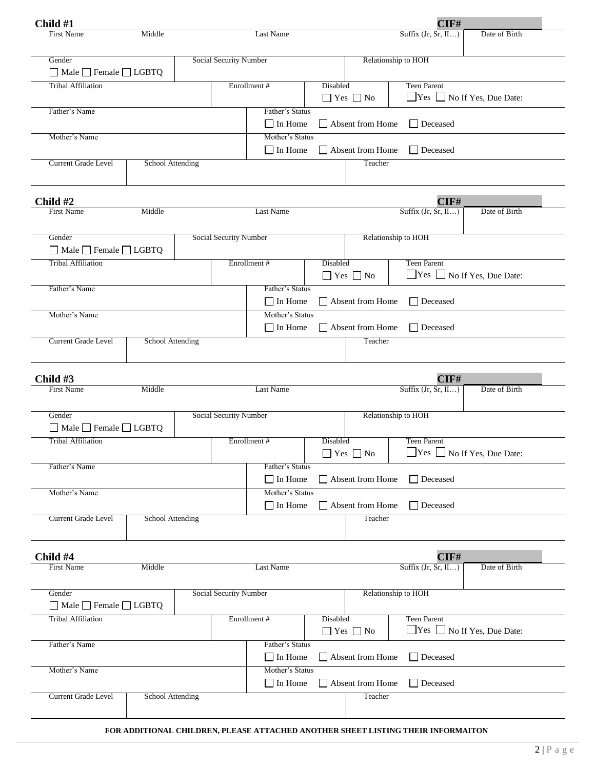| Child #1                                                            |                         |                        |                                   |          |                                        | CIF#                         |                                        |
|---------------------------------------------------------------------|-------------------------|------------------------|-----------------------------------|----------|----------------------------------------|------------------------------|----------------------------------------|
| <b>First Name</b>                                                   | Middle                  |                        | Last Name                         |          |                                        | Suffix $(Jr, Sr, II)$        | Date of Birth                          |
| Gender                                                              |                         | Social Security Number |                                   |          |                                        | Relationship to HOH          |                                        |
| $\Box$ Male $\Box$ Female $\Box$ LGBTQ                              |                         |                        |                                   |          |                                        |                              |                                        |
| <b>Tribal Affiliation</b>                                           |                         |                        | Enrollment#                       | Disabled | $\Box$ Yes $\Box$ No                   | <b>Teen Parent</b>           | $\Box$ Yes $\Box$ No If Yes, Due Date: |
| Father's Name                                                       |                         |                        | Father's Status<br>$\Box$ In Home |          | Absent from Home                       | $\Box$ Deceased              |                                        |
| Mother's Name                                                       |                         |                        | Mother's Status                   |          |                                        |                              |                                        |
| Current Grade Level                                                 | School Attending        |                        | $\Box$ In Home                    |          | $\Box$ Absent from Home<br>Teacher     | $\Box$ Deceased              |                                        |
|                                                                     |                         |                        |                                   |          |                                        |                              |                                        |
| Child #2                                                            |                         |                        |                                   |          |                                        | CIF#                         |                                        |
| <b>First Name</b>                                                   | Middle                  |                        | Last Name                         |          |                                        | Suffix $(Jr, Sr, II)$        | Date of Birth                          |
|                                                                     |                         |                        |                                   |          |                                        |                              |                                        |
| Gender<br>$\Box$ Male $\Box$ Female $\Box$ LGBTQ                    |                         | Social Security Number |                                   |          |                                        | Relationship to HOH          |                                        |
| <b>Tribal Affiliation</b>                                           |                         |                        | Enrollment #                      | Disabled | $\Box$ Yes $\Box$ No                   | <b>Teen Parent</b>           | $\Box$ Yes $\Box$ No If Yes, Due Date: |
| Father's Name                                                       |                         |                        | Father's Status                   |          |                                        |                              |                                        |
|                                                                     |                         |                        | $\Box$ In Home                    |          | Absent from Home                       | Deceased                     |                                        |
| Mother's Name                                                       |                         |                        | Mother's Status                   |          |                                        |                              |                                        |
|                                                                     |                         |                        | $\Box$ In Home                    |          | Absent from Home                       | $\Box$ Deceased              |                                        |
| Current Grade Level                                                 | <b>School Attending</b> |                        |                                   |          | Teacher                                |                              |                                        |
| Child #3                                                            |                         |                        |                                   |          |                                        | CIF#                         |                                        |
| <b>First Name</b>                                                   | Middle                  |                        | Last Name                         |          |                                        | Suffix $(Jr, Sr, II)$        | Date of Birth                          |
| Gender                                                              |                         | Social Security Number |                                   |          |                                        | Relationship to HOH          |                                        |
| $\Box$ Male $\Box$ Female $\Box$ LGBTQ<br><b>Tribal Affiliation</b> |                         |                        | Enrollment #                      | Disabled |                                        | <b>Teen Parent</b>           |                                        |
|                                                                     |                         |                        |                                   |          | $\hfill\Box$<br>Yes $\hfill\Box$<br>No | □ Yes □ No If Yes, Due Date: |                                        |
| Father's Name                                                       |                         |                        | Father's Status<br>$\Box$ In Home |          | Absent from Home                       | Deceased                     |                                        |
| Mother's Name                                                       |                         |                        | Mother's Status                   |          |                                        |                              |                                        |
|                                                                     |                         |                        | $\Box$ In Home                    |          | $\Box$ Absent from Home                | □ Deceased                   |                                        |
| Current Grade Level                                                 | School Attending        |                        |                                   |          | Teacher                                |                              |                                        |
|                                                                     |                         |                        |                                   |          |                                        |                              |                                        |
| Child #4                                                            |                         |                        |                                   |          |                                        | CIF#                         |                                        |
| <b>First Name</b>                                                   | Middle                  |                        | <b>Last Name</b>                  |          |                                        | Suffix $(Jr, Sr, II)$        | Date of Birth                          |
| Gender                                                              |                         | Social Security Number |                                   |          |                                        | Relationship to HOH          |                                        |
| $\Box$ Male $\Box$ Female $\Box$ LGBTQ                              |                         |                        |                                   |          |                                        |                              |                                        |
| <b>Tribal Affiliation</b>                                           |                         |                        | Enrollment #                      | Disabled | $\Box$ Yes $\Box$ No                   | <b>Teen Parent</b>           | $\Box$ Yes $\Box$ No If Yes, Due Date: |
| Father's Name                                                       |                         |                        | Father's Status<br>$\Box$ In Home |          | Absent from Home                       | □ Deceased                   |                                        |
| Mother's Name                                                       |                         |                        | Mother's Status                   |          |                                        |                              |                                        |
|                                                                     |                         |                        | $\Box$ In Home                    |          | Absent from Home                       | □ Deceased                   |                                        |
| Current Grade Level                                                 | <b>School Attending</b> |                        |                                   |          | Teacher                                |                              |                                        |
|                                                                     |                         |                        |                                   |          |                                        |                              |                                        |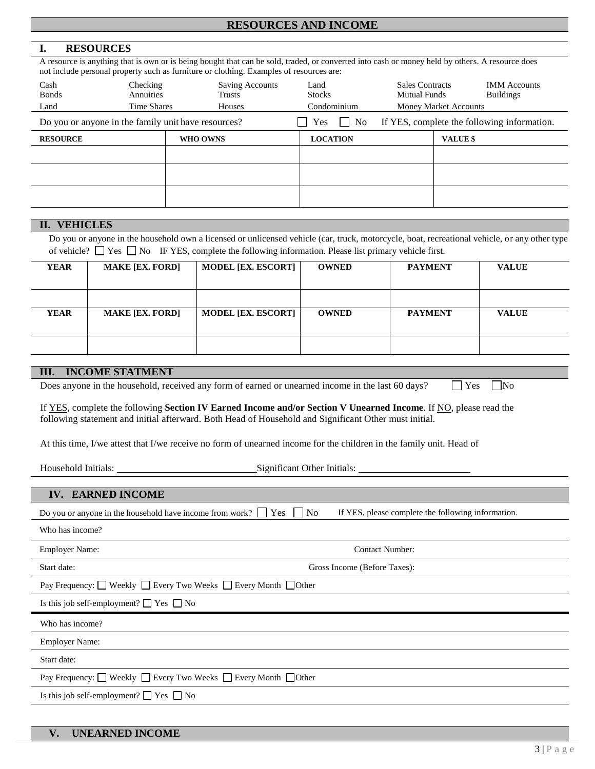#### **RESOURCES AND INCOME**

#### **I. RESOURCES**

A resource is anything that is own or is being bought that can be sold, traded, or converted into cash or money held by others. A resource does not include personal property such as furniture or clothing. Examples of resources are:

| Cash<br><b>Bonds</b><br>Land                        | Checking<br>Annuities<br><b>Time Shares</b> | Saving Accounts<br>Trusts<br>Houses | Land<br><b>Stocks</b><br>Condominium | <b>Sales Contracts</b><br><b>Mutual Funds</b> | <b>IMM</b> Accounts<br><b>Buildings</b><br><b>Money Market Accounts</b> |
|-----------------------------------------------------|---------------------------------------------|-------------------------------------|--------------------------------------|-----------------------------------------------|-------------------------------------------------------------------------|
| Do you or anyone in the family unit have resources? |                                             |                                     | N <sub>o</sub><br>Yes<br>$\sim$      |                                               | If YES, complete the following information.                             |
| <b>RESOURCE</b>                                     |                                             | WHO OWNS                            | <b>LOCATION</b>                      |                                               | VALUE \$                                                                |
|                                                     |                                             |                                     |                                      |                                               |                                                                         |
|                                                     |                                             |                                     |                                      |                                               |                                                                         |
|                                                     |                                             |                                     |                                      |                                               |                                                                         |
|                                                     |                                             |                                     |                                      |                                               |                                                                         |

#### **II. VEHICLES**

Do you or anyone in the household own a licensed or unlicensed vehicle (car, truck, motorcycle, boat, recreational vehicle, or any other type of vehicle?  $\Box$  Yes  $\Box$  No IF YES, complete the following information. Please list primary vehicle first.

| <b>YEAR</b> | <b>MAKE [EX. FORD]</b> | <b>MODEL [EX. ESCORT]</b> | <b>OWNED</b> | <b>PAYMENT</b> | <b>VALUE</b> |
|-------------|------------------------|---------------------------|--------------|----------------|--------------|
| YEAR        | <b>MAKE [EX. FORD]</b> | <b>MODEL [EX. ESCORT]</b> | <b>OWNED</b> | <b>PAYMENT</b> | <b>VALUE</b> |
|             |                        |                           |              |                |              |

#### **III. INCOME STATMENT**

Does anyone in the household, received any form of earned or unearned income in the last 60 days?  $\Box$  Yes  $\Box$  No

If YES, complete the following **Section IV Earned Income and/or Section V Unearned Income**. If NO, please read the following statement and initial afterward. Both Head of Household and Significant Other must initial.

At this time, I/we attest that I/we receive no form of unearned income for the children in the family unit. Head of

Household Initials: Significant Other Initials:

#### **IV. EARNED INCOME**

| Do you or anyone in the household have income from work? $\Box$ Yes | N <sub>o</sub><br>If YES, please complete the following information. |
|---------------------------------------------------------------------|----------------------------------------------------------------------|
| Who has income?                                                     |                                                                      |
| <b>Employer Name:</b>                                               | <b>Contact Number:</b>                                               |
| Start date:                                                         | Gross Income (Before Taxes):                                         |
| Pay Frequency: □ Weekly □ Every Two Weeks □ Every Month □ Other     |                                                                      |
| Is this job self-employment? $\Box$ Yes $\Box$ No                   |                                                                      |
|                                                                     |                                                                      |
| Who has income?                                                     |                                                                      |
| <b>Employer Name:</b>                                               |                                                                      |
| Start date:                                                         |                                                                      |
| Pay Frequency: □ Weekly □ Every Two Weeks □ Every Month □ Other     |                                                                      |
| Is this job self-employment? $\Box$ Yes $\Box$ No                   |                                                                      |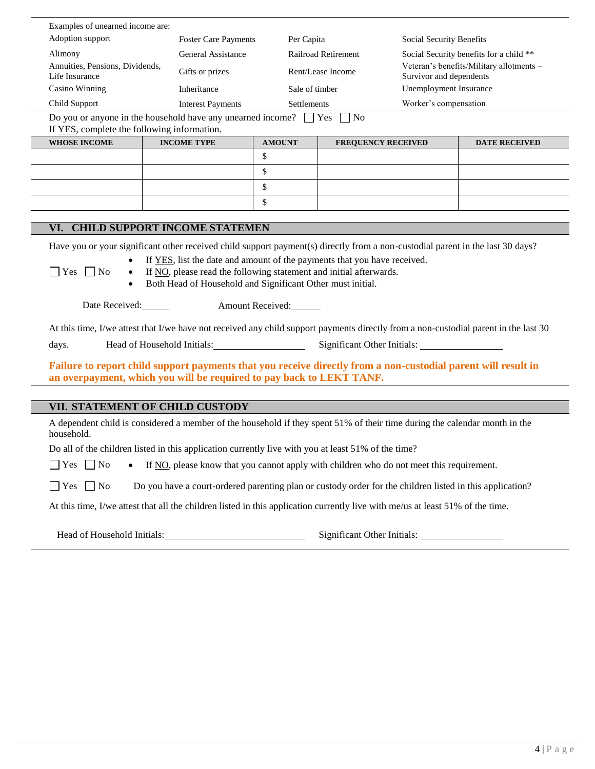| Examples of unearned income are:                                                                                                |                                                                                                                                                                                                                      |                  |                            |                                                                     |                                         |  |
|---------------------------------------------------------------------------------------------------------------------------------|----------------------------------------------------------------------------------------------------------------------------------------------------------------------------------------------------------------------|------------------|----------------------------|---------------------------------------------------------------------|-----------------------------------------|--|
| Adoption support                                                                                                                | <b>Foster Care Payments</b>                                                                                                                                                                                          | Per Capita       |                            | Social Security Benefits                                            |                                         |  |
| Alimony                                                                                                                         | General Assistance                                                                                                                                                                                                   |                  | <b>Railroad Retirement</b> |                                                                     | Social Security benefits for a child ** |  |
| Annuities, Pensions, Dividends,<br>Life Insurance                                                                               | Gifts or prizes                                                                                                                                                                                                      |                  | Rent/Lease Income          | Veteran's benefits/Military allotments -<br>Survivor and dependents |                                         |  |
| Casino Winning                                                                                                                  | Inheritance                                                                                                                                                                                                          | Sale of timber   |                            | Unemployment Insurance                                              |                                         |  |
| Child Support                                                                                                                   | <b>Interest Payments</b>                                                                                                                                                                                             |                  | Settlements                |                                                                     | Worker's compensation                   |  |
| Do you or anyone in the household have any unearned income? $\Box$ Yes $\Box$ No<br>If YES, complete the following information. |                                                                                                                                                                                                                      |                  |                            |                                                                     |                                         |  |
| <b>WHOSE INCOME</b>                                                                                                             | <b>INCOME TYPE</b>                                                                                                                                                                                                   | <b>AMOUNT</b>    | <b>FREQUENCY RECEIVED</b>  |                                                                     | <b>DATE RECEIVED</b>                    |  |
|                                                                                                                                 |                                                                                                                                                                                                                      | \$               |                            |                                                                     |                                         |  |
|                                                                                                                                 |                                                                                                                                                                                                                      | \$               |                            |                                                                     |                                         |  |
|                                                                                                                                 |                                                                                                                                                                                                                      | \$               |                            |                                                                     |                                         |  |
|                                                                                                                                 |                                                                                                                                                                                                                      | \$               |                            |                                                                     |                                         |  |
|                                                                                                                                 |                                                                                                                                                                                                                      |                  |                            |                                                                     |                                         |  |
|                                                                                                                                 | VI. CHILD SUPPORT INCOME STATEMEN                                                                                                                                                                                    |                  |                            |                                                                     |                                         |  |
|                                                                                                                                 | Have you or your significant other received child support payment(s) directly from a non-custodial parent in the last 30 days?                                                                                       |                  |                            |                                                                     |                                         |  |
| $\Box$ Yes $\Box$ No<br>$\bullet$                                                                                               | If <u>YES</u> , list the date and amount of the payments that you have received.<br>If NO, please read the following statement and initial afterwards.<br>Both Head of Household and Significant Other must initial. |                  |                            |                                                                     |                                         |  |
| Date Received:                                                                                                                  |                                                                                                                                                                                                                      | Amount Received: |                            |                                                                     |                                         |  |
|                                                                                                                                 | At this time, I/we attest that I/we have not received any child support payments directly from a non-custodial parent in the last 30                                                                                 |                  |                            |                                                                     |                                         |  |
| days.                                                                                                                           | Head of Household Initials:                                                                                                                                                                                          |                  |                            |                                                                     |                                         |  |
|                                                                                                                                 | Failure to report child support payments that you receive directly from a non-custodial parent will result in<br>an overpayment, which you will be required to pay back to LEKT TANF.                                |                  |                            |                                                                     |                                         |  |
|                                                                                                                                 |                                                                                                                                                                                                                      |                  |                            |                                                                     |                                         |  |
|                                                                                                                                 | VII. STATEMENT OF CHILD CUSTODY                                                                                                                                                                                      |                  |                            |                                                                     |                                         |  |
| household.                                                                                                                      | A dependent child is considered a member of the household if they spent 51% of their time during the calendar month in the                                                                                           |                  |                            |                                                                     |                                         |  |
|                                                                                                                                 | Do all of the children listed in this application currently live with you at least 51% of the time?                                                                                                                  |                  |                            |                                                                     |                                         |  |
| $\Box$ Yes $\Box$ No                                                                                                            | If NO, please know that you cannot apply with children who do not meet this requirement.                                                                                                                             |                  |                            |                                                                     |                                         |  |
| $\Box$ Yes $\Box$ No                                                                                                            | Do you have a court-ordered parenting plan or custody order for the children listed in this application?                                                                                                             |                  |                            |                                                                     |                                         |  |
|                                                                                                                                 | At this time, I/we attest that all the children listed in this application currently live with me/us at least 51% of the time.                                                                                       |                  |                            |                                                                     |                                         |  |
|                                                                                                                                 |                                                                                                                                                                                                                      |                  |                            |                                                                     |                                         |  |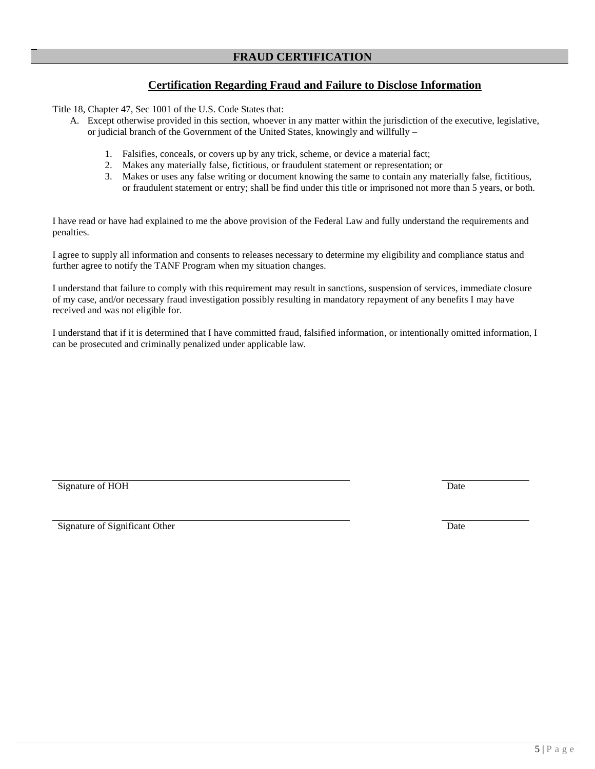#### **Certification Regarding Fraud and Failure to Disclose Information**

Title 18, Chapter 47, Sec 1001 of the U.S. Code States that:

- A. Except otherwise provided in this section, whoever in any matter within the jurisdiction of the executive, legislative, or judicial branch of the Government of the United States, knowingly and willfully –
	- 1. Falsifies, conceals, or covers up by any trick, scheme, or device a material fact;
	- 2. Makes any materially false, fictitious, or fraudulent statement or representation; or
	- 3. Makes or uses any false writing or document knowing the same to contain any materially false, fictitious, or fraudulent statement or entry; shall be find under this title or imprisoned not more than 5 years, or both.

I have read or have had explained to me the above provision of the Federal Law and fully understand the requirements and penalties.

I agree to supply all information and consents to releases necessary to determine my eligibility and compliance status and further agree to notify the TANF Program when my situation changes.

I understand that failure to comply with this requirement may result in sanctions, suspension of services, immediate closure of my case, and/or necessary fraud investigation possibly resulting in mandatory repayment of any benefits I may have received and was not eligible for.

I understand that if it is determined that I have committed fraud, falsified information, or intentionally omitted information, I can be prosecuted and criminally penalized under applicable law.

Signature of HOH Date

Signature of Significant Other Date Date of Signature of Significant Other Date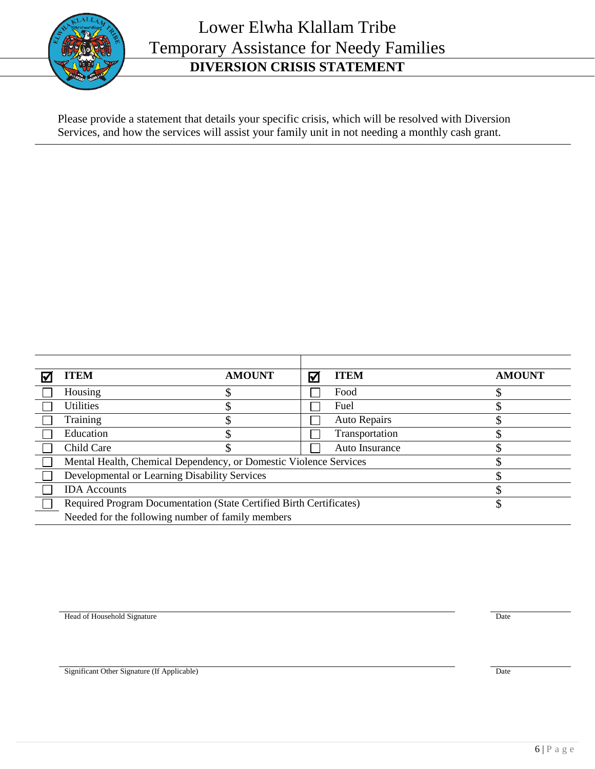

# Lower Elwha Klallam Tribe Temporary Assistance for Needy Families **DIVERSION CRISIS STATEMENT**

Please provide a statement that details your specific crisis, which will be resolved with Diversion Services, and how the services will assist your family unit in not needing a monthly cash grant.

| TEM                                                                 | <b>AMOUNT</b> | $\triangledown$ | <b>ITEM</b>         | <b>AMOUNT</b> |
|---------------------------------------------------------------------|---------------|-----------------|---------------------|---------------|
| Housing                                                             |               |                 | Food                |               |
| <b>Utilities</b>                                                    |               |                 | Fuel                |               |
| Training                                                            |               |                 | <b>Auto Repairs</b> |               |
| Education                                                           |               |                 | Transportation      |               |
| Child Care                                                          |               |                 | Auto Insurance      |               |
| Mental Health, Chemical Dependency, or Domestic Violence Services   |               |                 |                     |               |
| Developmental or Learning Disability Services                       |               |                 |                     |               |
| <b>IDA</b> Accounts                                                 |               |                 |                     |               |
| Required Program Documentation (State Certified Birth Certificates) |               |                 |                     |               |
| Needed for the following number of family members                   |               |                 |                     |               |

Head of Household Signature **Date** 

Significant Other Signature (If Applicable) Date